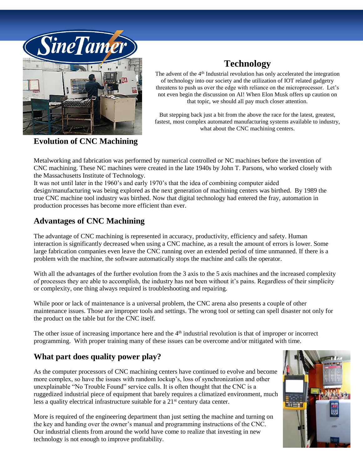

**Evolution of CNC Machining**

## **Technology**

The advent of the  $4<sup>th</sup>$  Industrial revolution has only accelerated the integration of technology into our society and the utilization of IOT related gadgetry threatens to push us over the edge with reliance on the microprocessor. Let's not even begin the discussion on AI! When Elon Musk offers up caution on that topic, we should all pay much closer attention.

But stepping back just a bit from the above the race for the latest, greatest, fastest, most complex automated manufacturing systems available to industry, what about the CNC machining centers.

Metalworking and fabrication was performed by numerical controlled or NC machines before the invention of CNC machining. These NC machines were created in the late 1940s by John T. Parsons, who worked closely with the Massachusetts Institute of Technology.

It was not until later in the 1960's and early 1970's that the idea of combining computer aided design/manufacturing was being explored as the next generation of machining centers was birthed. By 1989 the true CNC machine tool industry was birthed. Now that digital technology had entered the fray, automation in production processes has become more efficient than ever.

### **Advantages of CNC Machining**

The advantage of CNC machining is represented in accuracy, productivity, efficiency and safety. Human interaction is significantly decreased when using a CNC machine, as a result the amount of errors is lower. Some large fabrication companies even leave the CNC running over an extended period of time unmanned. If there is a problem with the machine, the software automatically stops the machine and calls the operator.

With all the advantages of the further evolution from the 3 axis to the 5 axis machines and the increased complexity of processes they are able to accomplish, the industry has not been without it's pains. Regardless of their simplicity or complexity, one thing always required is troubleshooting and repairing.

While poor or lack of maintenance is a universal problem, the CNC arena also presents a couple of other maintenance issues. Those are improper tools and settings. The wrong tool or setting can spell disaster not only for the product on the table but for the CNC itself.

The other issue of increasing importance here and the  $4<sup>th</sup>$  industrial revolution is that of improper or incorrect programming. With proper training many of these issues can be overcome and/or mitigated with time.

#### **What part does quality power play?**

As the computer processors of CNC machining centers have continued to evolve and become more complex, so have the issues with random lockup's, loss of synchronization and other unexplainable "No Trouble Found" service calls. It is often thought that the CNC is a ruggedized industrial piece of equipment that barely requires a climatized environment, much less a quality electrical infrastructure suitable for a  $21<sup>st</sup>$  century data center.

More is required of the engineering department than just setting the machine and turning on the key and handing over the owner's manual and programming instructions of the CNC. Our industrial clients from around the world have come to realize that investing in new technology is not enough to improve profitability.